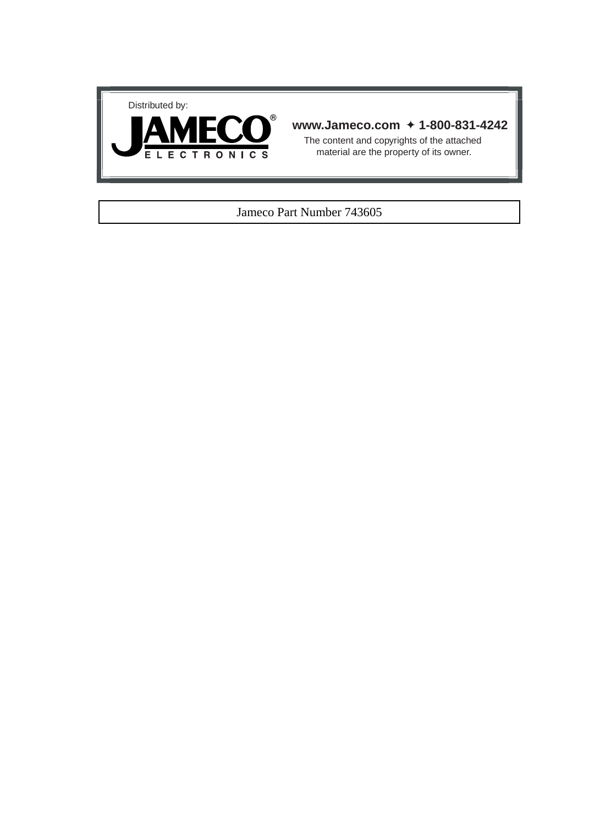



## **www.Jameco.com** ✦ **1-800-831-4242**

The content and copyrights of the attached material are the property of its owner.

## Jameco Part Number 743605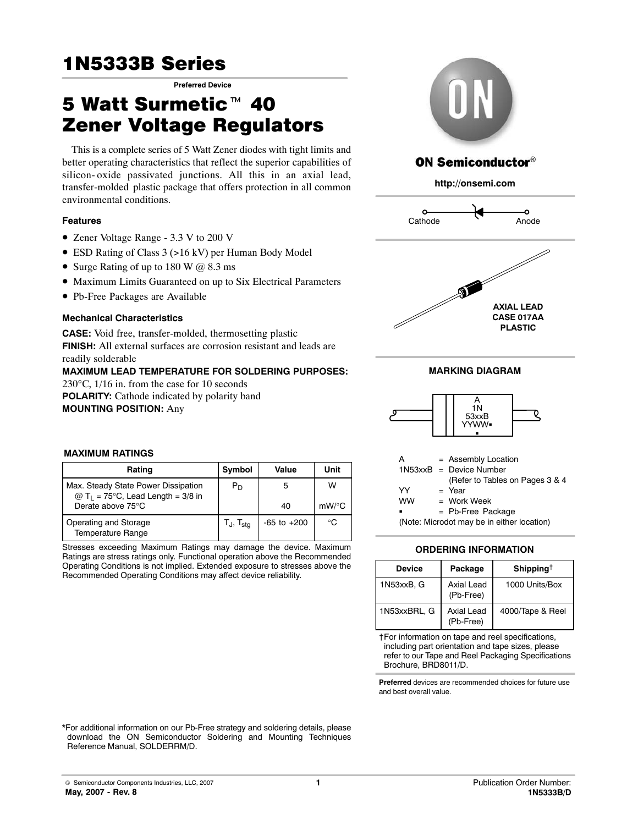# 1N5333B Series **Preferred Device**

# **1N5333B Series<br>5 Watt Surmetic<sup>™</sup>40 Zener Voltage Regulators**

This is a complete series of 5 Watt Zener diodes with tight limits and better operating characteristics that reflect the superior capabilities of silicon- oxide passivated junctions. All this in an axial lead, transfer-molded plastic package that offers protection in all common environmental conditions.

## **Features**

- Zener Voltage Range 3.3 V to 200 V
- ESD Rating of Class 3 (>16 kV) per Human Body Model
- Surge Rating of up to 180 W @ 8.3 ms
- $\bullet$  Maximum Limits Guaranteed on up to Six Electrical Parameters
- · Pb-Free Packages are Available

## **Mechanical Characteristics**

**CASE:** Void free, transfer-molded, thermosetting plastic **FINISH:** All external surfaces are corrosion resistant and leads are readily solderable **MAXIMUM LEAD TEMPERATURE FOR SOLDERING PURPOSES:**

230°C, 1/16 in. from the case for 10 seconds **POLARITY:** Cathode indicated by polarity band

**MOUNTING POSITION:** Any



## **ON Semiconductor®**

**http://onsemi.com**







| А         | $=$ Assembly Location                      |
|-----------|--------------------------------------------|
|           | $1N53xxB = Device Number$                  |
|           | (Refer to Tables on Pages 3 & 4            |
| YY        | $=$ Year                                   |
| <b>WW</b> | $=$ Work Week                              |
| ٠         | $=$ Pb-Free Package                        |
|           | (Note: Microdot may be in either location) |

## **ORDERING INFORMATION**

| <b>Device</b> | Package                        | Shipping <sup>†</sup> |
|---------------|--------------------------------|-----------------------|
| 1N53xxB, G    | Axial Lead<br>(Pb-Free)        | 1000 Units/Box        |
| 1N53xxBRL, G  | <b>Axial Lead</b><br>(Pb-Free) | 4000/Tape & Reel      |

†For information on tape and reel specifications, including part orientation and tape sizes, please refer to our Tape and Reel Packaging Specifications Brochure, BRD8011/D.

**Preferred** devices are recommended choices for future use and best overall value.

## **MAXIMUM RATINGS**

| Rating                                                                                 | Symbol            | Value           | Unit     |
|----------------------------------------------------------------------------------------|-------------------|-----------------|----------|
| Max. Steady State Power Dissipation<br>$@$ T <sub>1</sub> = 75°C, Lead Length = 3/8 in | $P_D$             | 5               | w        |
| Derate above 75°C                                                                      |                   | 40              | $mW$ /°C |
| Operating and Storage<br><b>Temperature Range</b>                                      | $T_J$ , $T_{sta}$ | $-65$ to $+200$ | ℃        |

Stresses exceeding Maximum Ratings may damage the device. Maximum Ratings are stress ratings only. Functional operation above the Recommended Operating Conditions is not implied. Extended exposure to stresses above the Recommended Operating Conditions may affect device reliability.

\*For additional information on our Pb-Free strategy and soldering details, please download the ON Semiconductor Soldering and Mounting Techniques Reference Manual, SOLDERRM/D.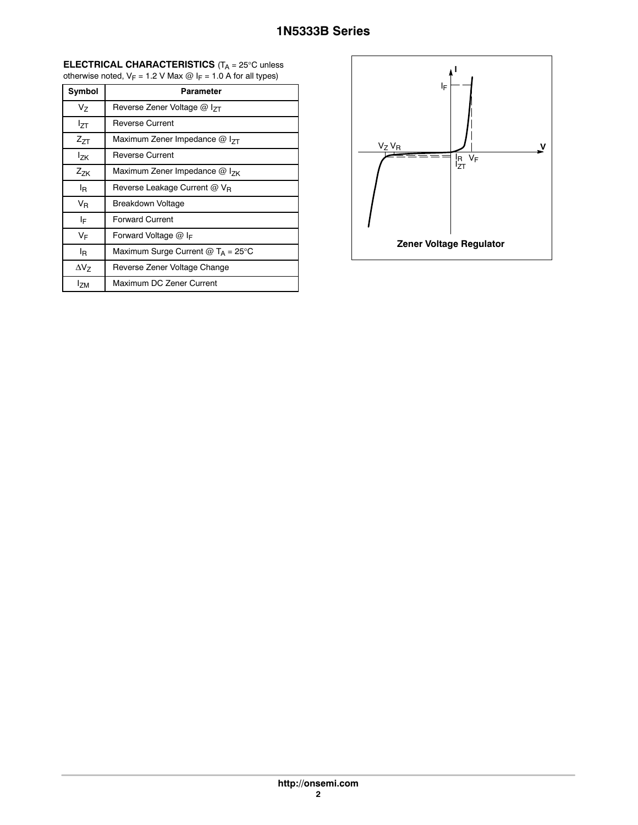#### **ELECTRICAL CHARACTERISTICS** (T<sub>A</sub> = 25°C unless otherwise noted,  $V_F = 1.2$  V Max  $\omega$  I<sub>F</sub> = 1.0 A for all types)

| Symbol          | <b>Parameter</b>                            |
|-----------------|---------------------------------------------|
| Vz              | Reverse Zener Voltage @ I <sub>7T</sub>     |
| lzτ             | Reverse Current                             |
| $Z_{7T}$        | Maximum Zener Impedance $@$ I <sub>7T</sub> |
| <b>Izk</b>      | Reverse Current                             |
| $Z_{7K}$        | Maximum Zener Impedance $@$ $1_{7}$         |
| l <sub>R</sub>  | Reverse Leakage Current @ V <sub>R</sub>    |
| VR              | <b>Breakdown Voltage</b>                    |
| I⊧              | <b>Forward Current</b>                      |
| VF              | Forward Voltage $@$ I <sub>F</sub>          |
| l <sub>R</sub>  | Maximum Surge Current $@T_A = 25^\circ C$   |
| $\Delta V_Z$    | Reverse Zener Voltage Change                |
| <sup>l</sup> zm | Maximum DC Zener Current                    |

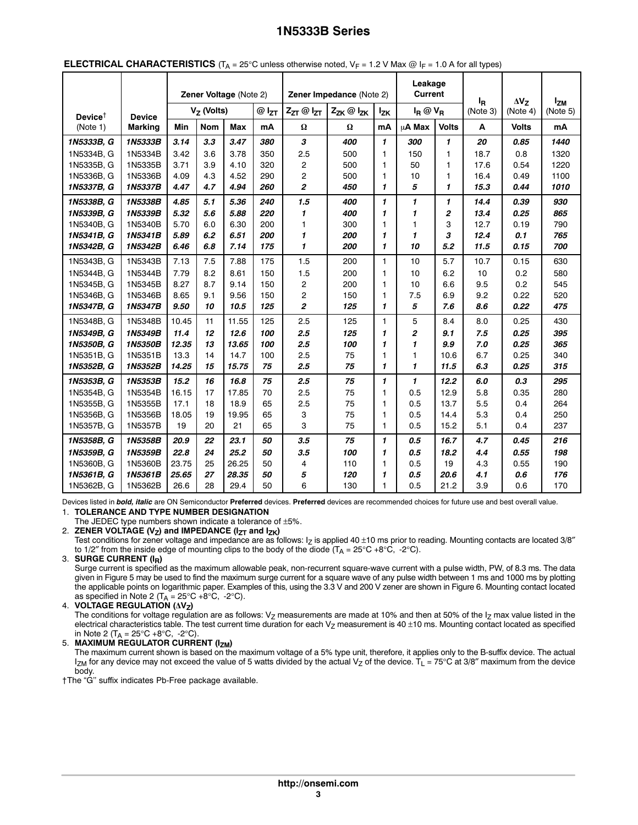|                                        |                |       |              | $\sqrt{2}$<br>Zener Voltage (Note 2) |                     |                            | Zener Impedance (Note 2) |              | Leakage<br><b>Current</b> |                | ,,,             |                            |                      |
|----------------------------------------|----------------|-------|--------------|--------------------------------------|---------------------|----------------------------|--------------------------|--------------|---------------------------|----------------|-----------------|----------------------------|----------------------|
| Device <sup><math>\dagger</math></sup> | <b>Device</b>  |       | $VZ$ (Volts) |                                      | $@$ l <sub>zt</sub> | $Z_{ZT}$ @ $I_{ZT}$        | Zzk @ Izk                | <b>Izk</b>   | $I_R @ V_R$               |                | ΙŖ.<br>(Note 3) | $\Delta V_{7}$<br>(Note 4) | $I_{ZM}$<br>(Note 5) |
| (Note 1)                               | <b>Marking</b> | Min   | <b>Nom</b>   | <b>Max</b>                           | mA                  | $\pmb{\Omega}$             | $\Omega$                 | mA           | μ <b>A Max</b>            | <b>Volts</b>   | Α               | <b>Volts</b>               | mA                   |
| 1N5333B, G                             | 1N5333B        | 3.14  | 3.3          | 3.47                                 | 380                 | $\boldsymbol{\mathcal{S}}$ | 400                      | 1            | 300                       | 1              | 20              | 0.85                       | 1440                 |
| 1N5334B, G                             | 1N5334B        | 3.42  | 3.6          | 3.78                                 | 350                 | 2.5                        | 500                      | 1            | 150                       | 1              | 18.7            | 0.8                        | 1320                 |
| 1N5335B, G                             | 1N5335B        | 3.71  | 3.9          | 4.10                                 | 320                 | $\overline{2}$             | 500                      | 1            | 50                        | $\mathbf{1}$   | 17.6            | 0.54                       | 1220                 |
| 1N5336B, G                             | 1N5336B        | 4.09  | 4.3          | 4.52                                 | 290                 | $\overline{c}$             | 500                      | 1            | 10                        | $\mathbf{1}$   | 16.4            | 0.49                       | 1100                 |
| 1N5337B, G                             | 1N5337B        | 4.47  | 4.7          | 4.94                                 | 260                 | 2                          | 450                      | 1            | 5                         | 1              | 15.3            | 0.44                       | 1010                 |
| 1N5338B, G                             | 1N5338B        | 4.85  | 5.1          | 5.36                                 | 240                 | 1.5                        | 400                      | 1            | $\mathbf{1}$              | 1              | 14.4            | 0.39                       | 930                  |
| 1N5339B, G                             | 1N5339B        | 5.32  | 5.6          | 5.88                                 | 220                 | 1                          | 400                      | 1            | 1                         | $\overline{c}$ | 13.4            | 0.25                       | 865                  |
| 1N5340B, G                             | 1N5340B        | 5.70  | 6.0          | 6.30                                 | 200                 | 1                          | 300                      | 1            | 1                         | 3              | 12.7            | 0.19                       | 790                  |
| 1N5341B, G                             | 1N5341B        | 5.89  | 6.2          | 6.51                                 | 200                 | 1                          | 200                      | 1            | 1                         | 3              | 12.4            | 0.1                        | 765                  |
| 1N5342B, G                             | 1N5342B        | 6.46  | 6.8          | 7.14                                 | 175                 | $\mathbf{1}$               | 200                      | 1            | 10                        | 5.2            | 11.5            | 0.15                       | 700                  |
| 1N5343B. G                             | 1N5343B        | 7.13  | 7.5          | 7.88                                 | 175                 | 1.5                        | 200                      | 1            | 10                        | 5.7            | 10.7            | 0.15                       | 630                  |
| 1N5344B. G                             | 1N5344B        | 7.79  | 8.2          | 8.61                                 | 150                 | 1.5                        | 200                      | 1            | 10                        | 6.2            | 10              | 0.2                        | 580                  |
| 1N5345B, G                             | 1N5345B        | 8.27  | 8.7          | 9.14                                 | 150                 | $\overline{c}$             | 200                      | 1            | 10                        | 6.6            | 9.5             | 0.2                        | 545                  |
| 1N5346B, G                             | 1N5346B        | 8.65  | 9.1          | 9.56                                 | 150                 | 2                          | 150                      | 1            | 7.5                       | 6.9            | 9.2             | 0.22                       | 520                  |
| 1N5347B, G                             | 1N5347B        | 9.50  | 10           | 10.5                                 | 125                 | $\overline{c}$             | 125                      | $\mathbf{1}$ | 5                         | 7.6            | 8.6             | 0.22                       | 475                  |
| 1N5348B, G                             | 1N5348B        | 10.45 | 11           | 11.55                                | 125                 | 2.5                        | 125                      | 1            | 5                         | 8.4            | 8.0             | 0.25                       | 430                  |
| 1N5349B, G                             | 1N5349B        | 11.4  | 12           | 12.6                                 | 100                 | 2.5                        | 125                      | 1            | $\overline{2}$            | 9.1            | 7.5             | 0.25                       | 395                  |
| 1N5350B, G                             | 1N5350B        | 12.35 | 13           | 13.65                                | 100                 | 2.5                        | 100                      | 1            | 1                         | 9.9            | 7.0             | 0.25                       | 365                  |
| 1N5351B, G                             | 1N5351B        | 13.3  | 14           | 14.7                                 | 100                 | 2.5                        | 75                       | 1            | 1                         | 10.6           | 6.7             | 0.25                       | 340                  |
| 1N5352B, G                             | 1N5352B        | 14.25 | 15           | 15.75                                | 75                  | 2.5                        | 75                       | $\mathbf{1}$ | $\mathbf{1}$              | 11.5           | 6.3             | 0.25                       | 315                  |
| 1N5353B, G                             | 1N5353B        | 15.2  | 16           | 16.8                                 | 75                  | 2.5                        | 75                       | $\mathbf{1}$ | $\mathbf{1}$              | 12.2           | 6.0             | 0.3                        | 295                  |
| 1N5354B, G                             | 1N5354B        | 16.15 | 17           | 17.85                                | 70                  | 2.5                        | 75                       | 1            | 0.5                       | 12.9           | 5.8             | 0.35                       | 280                  |
| 1N5355B, G                             | 1N5355B        | 17.1  | 18           | 18.9                                 | 65                  | 2.5                        | 75                       | 1            | 0.5                       | 13.7           | 5.5             | 0.4                        | 264                  |
| 1N5356B, G                             | 1N5356B        | 18.05 | 19           | 19.95                                | 65                  | 3                          | 75                       | 1            | 0.5                       | 14.4           | 5.3             | 0.4                        | 250                  |
| 1N5357B, G                             | 1N5357B        | 19    | 20           | 21                                   | 65                  | 3                          | 75                       | $\mathbf{1}$ | 0.5                       | 15.2           | 5.1             | 0.4                        | 237                  |
| 1N5358B, G                             | 1N5358B        | 20.9  | 22           | 23.1                                 | 50                  | 3.5                        | 75                       | 1            | 0.5                       | 16.7           | 4.7             | 0.45                       | 216                  |
| 1N5359B, G                             | 1N5359B        | 22.8  | 24           | 25.2                                 | 50                  | 3.5                        | 100                      | 1            | 0.5                       | 18.2           | 4.4             | 0.55                       | 198                  |
| 1N5360B, G                             | 1N5360B        | 23.75 | 25           | 26.25                                | 50                  | 4                          | 110                      | 1            | 0.5                       | 19             | 4.3             | 0.55                       | 190                  |
| 1N5361B, G                             | 1N5361B        | 25.65 | 27           | 28.35                                | 50                  | 5                          | 120                      | 1            | 0.5                       | 20.6           | 4.1             | 0.6                        | 176                  |
| 1N5362B, G                             | 1N5362B        | 26.6  | 28           | 29.4                                 | 50                  | 6                          | 130                      | 1            | 0.5                       | 21.2           | 3.9             | 0.6                        | 170                  |

#### <span id="page-3-0"></span>**ELECTRICAL CHARACTERISTICS**  $(T_A = 25^\circ \text{C}$  unless otherwise noted,  $V_F = 1.2 \text{ V}$  Max @  $I_F = 1.0 \text{ A}$  for all types)

Devices listed in *bold, italic* are ON Semiconductor **Preferred** devices. **Preferred** devices are recommended choices for future use and best overall value. 1. **TOLERANCE AND TYPE NUMBER DESIGNATION**

The JEDEC type numbers shown indicate a tolerance of  $\pm 5\%$ .

2. **ZENER VOLTAGE (V<sub>Z</sub>) and IMPEDANCE (I<sub>ZT</sub> and I<sub>ZK</sub>)** 

Test conditions for zener voltage and impedance are as follows:  $I_z$  is applied 40  $\pm$ 10 ms prior to reading. Mounting contacts are located 3/8" to 1/2" from the inside edge of mounting clips to the body of the diode  $(T_A = 25^{\circ}C + 8^{\circ}C, -2^{\circ}C)$ .

3. **SURGE CURRENT (IR)**

Surge current is specified as the maximum allowable peak, non-recurrent square-wave current with a pulse width, PW, of 8.3 ms. The data given in Figure [5](#page-6-0) may be used to find the maximum surge current for a square wave of any pulse width between 1 ms and 1000 ms by plotting the applicable points on logarithmic paper. Examples of this, using the 3.3 V and 200 V zener are shown in Figure [6.](#page-6-0) Mounting contact located as specified in Note 2 ( $T_A = 25^{\circ}C + 8^{\circ}C$ , -2 $^{\circ}C$ ).

## **4. VOLTAGE REGULATION (AV<sub>Z</sub>)**

The conditions for voltage regulation are as follows:  $V_Z$  measurements are made at 10% and then at 50% of the  $I_Z$  max value listed in the electrical characteristics table. The test current time duration for each  $V_Z$  measurement is 40  $\pm$ 10 ms. Mounting contact located as specified in Note 2 (T<sub>A</sub> = 25°C +8°C, -2°C).

5. **MAXIMUM REGULATOR CURRENT (IZM)**

The maximum current shown is based on the maximum voltage of a 5% type unit, therefore, it applies only to the B-suffix device. The actual  $I_{ZM}$  for any device may not exceed the value of 5 watts divided by the actual V<sub>Z</sub> of the device.  $T_L = 75^\circ$ C at 3/8" maximum from the device body.

†The "G'' suffix indicates Pb-Free package available.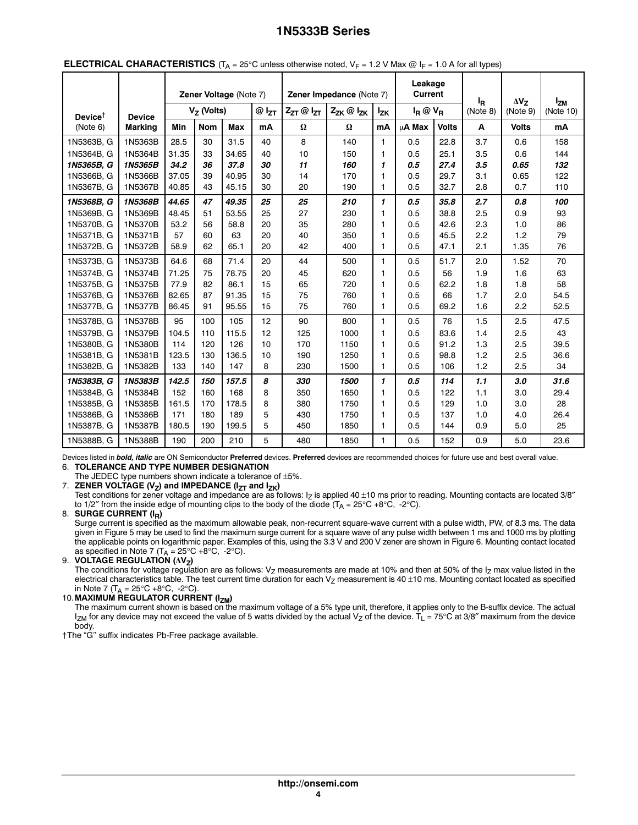| Zener Voltage (Note 7)                 |                |       |               | Zener Impedance (Note 7) | Leakage<br>Current |                       | l <sub>R</sub>      | $\Delta V_Z$ | <b>Izm</b>     |              |          |              |           |
|----------------------------------------|----------------|-------|---------------|--------------------------|--------------------|-----------------------|---------------------|--------------|----------------|--------------|----------|--------------|-----------|
| Device <sup><math>\dagger</math></sup> | <b>Device</b>  |       | $V_Z$ (Volts) |                          | $@$ $I_{ZT}$       | $Z_{ZT}$ $@$ $I_{ZT}$ | $Z_{ZK}$ @ $I_{ZK}$ | <b>Izk</b>   | $I_R @ V_R$    |              | (Note 8) | (Note 9)     | (Note 10) |
| (Note 6)                               | <b>Marking</b> | Min   | <b>Nom</b>    | Max                      | mA                 | $\pmb{\Omega}$        | $\pmb{\Omega}$      | mA           | μ <b>A</b> Max | <b>Volts</b> | A        | <b>Volts</b> | mA        |
| 1N5363B, G                             | 1N5363B        | 28.5  | 30            | 31.5                     | 40                 | 8                     | 140                 | $\mathbf{1}$ | 0.5            | 22.8         | 3.7      | 0.6          | 158       |
| 1N5364B. G                             | 1N5364B        | 31.35 | 33            | 34.65                    | 40                 | 10                    | 150                 | 1            | 0.5            | 25.1         | 3.5      | 0.6          | 144       |
| 1N5365B, G                             | 1N5365B        | 34.2  | 36            | 37.8                     | 30                 | 11                    | 160                 | 1            | 0.5            | 27.4         | 3.5      | 0.65         | 132       |
| 1N5366B, G                             | 1N5366B        | 37.05 | 39            | 40.95                    | 30                 | 14                    | 170                 | 1            | 0.5            | 29.7         | 3.1      | 0.65         | 122       |
| 1N5367B, G                             | 1N5367B        | 40.85 | 43            | 45.15                    | 30                 | 20                    | 190                 | 1            | 0.5            | 32.7         | 2.8      | 0.7          | 110       |
| 1N5368B, G                             | 1N5368B        | 44.65 | 47            | 49.35                    | 25                 | 25                    | 210                 | $\mathbf{1}$ | 0.5            | 35.8         | 2.7      | 0.8          | 100       |
| 1N5369B, G                             | 1N5369B        | 48.45 | 51            | 53.55                    | 25                 | 27                    | 230                 | 1            | 0.5            | 38.8         | 2.5      | 0.9          | 93        |
| 1N5370B, G                             | 1N5370B        | 53.2  | 56            | 58.8                     | 20                 | 35                    | 280                 | 1            | 0.5            | 42.6         | 2.3      | 1.0          | 86        |
| 1N5371B, G                             | 1N5371B        | 57    | 60            | 63                       | 20                 | 40                    | 350                 | 1            | 0.5            | 45.5         | 2.2      | 1.2          | 79        |
| 1N5372B, G                             | 1N5372B        | 58.9  | 62            | 65.1                     | 20                 | 42                    | 400                 | $\mathbf{1}$ | 0.5            | 47.1         | 2.1      | 1.35         | 76        |
| 1N5373B, G                             | 1N5373B        | 64.6  | 68            | 71.4                     | 20                 | 44                    | 500                 | 1            | 0.5            | 51.7         | 2.0      | 1.52         | 70        |
| 1N5374B, G                             | 1N5374B        | 71.25 | 75            | 78.75                    | 20                 | 45                    | 620                 | 1            | 0.5            | 56           | 1.9      | 1.6          | 63        |
| 1N5375B, G                             | 1N5375B        | 77.9  | 82            | 86.1                     | 15                 | 65                    | 720                 | 1            | 0.5            | 62.2         | 1.8      | 1.8          | 58        |
| 1N5376B, G                             | 1N5376B        | 82.65 | 87            | 91.35                    | 15                 | 75                    | 760                 | 1            | 0.5            | 66           | 1.7      | 2.0          | 54.5      |
| 1N5377B, G                             | 1N5377B        | 86.45 | 91            | 95.55                    | 15                 | 75                    | 760                 | 1            | 0.5            | 69.2         | 1.6      | 2.2          | 52.5      |
| 1N5378B, G                             | 1N5378B        | 95    | 100           | 105                      | 12                 | 90                    | 800                 | 1            | 0.5            | 76           | 1.5      | 2.5          | 47.5      |
| 1N5379B, G                             | 1N5379B        | 104.5 | 110           | 115.5                    | 12                 | 125                   | 1000                | 1            | 0.5            | 83.6         | 1.4      | 2.5          | 43        |
| 1N5380B, G                             | 1N5380B        | 114   | 120           | 126                      | 10                 | 170                   | 1150                | 1            | 0.5            | 91.2         | 1.3      | 2.5          | 39.5      |
| 1N5381B, G                             | 1N5381B        | 123.5 | 130           | 136.5                    | 10                 | 190                   | 1250                | 1            | 0.5            | 98.8         | 1.2      | 2.5          | 36.6      |
| 1N5382B, G                             | 1N5382B        | 133   | 140           | 147                      | 8                  | 230                   | 1500                | $\mathbf{1}$ | 0.5            | 106          | 1.2      | 2.5          | 34        |
| 1N5383B, G                             | 1N5383B        | 142.5 | 150           | 157.5                    | 8                  | 330                   | 1500                | $\mathbf{1}$ | 0.5            | 114          | 1.1      | 3.0          | 31.6      |
| 1N5384B. G                             | 1N5384B        | 152   | 160           | 168                      | 8                  | 350                   | 1650                | $\mathbf{1}$ | 0.5            | 122          | 1.1      | 3.0          | 29.4      |
| 1N5385B, G                             | 1N5385B        | 161.5 | 170           | 178.5                    | 8                  | 380                   | 1750                | 1            | 0.5            | 129          | 1.0      | 3.0          | 28        |
| 1N5386B, G                             | 1N5386B        | 171   | 180           | 189                      | 5                  | 430                   | 1750                | 1            | 0.5            | 137          | 1.0      | 4.0          | 26.4      |
| 1N5387B, G                             | 1N5387B        | 180.5 | 190           | 199.5                    | 5                  | 450                   | 1850                | 1            | 0.5            | 144          | 0.9      | 5.0          | 25        |
| 1N5388B, G                             | 1N5388B        | 190   | 200           | 210                      | 5                  | 480                   | 1850                | $\mathbf{1}$ | 0.5            | 152          | 0.9      | 5.0          | 23.6      |

## **ELECTRICAL CHARACTERISTICS**  $(T_A = 25^\circ \text{C}$  unless otherwise noted,  $V_F = 1.2 \text{ V}$  Max  $\textcircled{R}$  I<sub>F</sub> = 1.0 A for all types)

Devices listed in *bold, italic* are ON Semiconductor **Preferred** devices. **Preferred** devices are recommended choices for future use and best overall value. 6. **TOLERANCE AND TYPE NUMBER DESIGNATION**

The JEDEC type numbers shown indicate a tolerance of ±5%.

7. **ZENER VOLTAGE (V<sub>Z</sub>) and IMPEDANCE (I<sub>ZT</sub> and I<sub>ZK</sub>)** 

Test conditions for zener voltage and impedance are as follows:  $I<sub>7</sub>$  is applied 40  $\pm$ 10 ms prior to reading. Mounting contacts are located 3/8" to 1/2" from the inside edge of mounting clips to the body of the diode  $(T_A = 25^{\circ}C + 8^{\circ}C, -2^{\circ}C)$ .

8. **SURGE CURRENT (IR)**

Surge current is specified as the maximum allowable peak, non-recurrent square-wave current with a pulse width, PW, of 8.3 ms. The data given in Figure [5](#page-6-0) may be used to find the maximum surge current for a square wave of any pulse width between 1 ms and 1000 ms by plotting the applicable points on logarithmic paper. Examples of this, using the 3.3 V and 200 V zener are shown in Figure [6.](#page-6-0) Mounting contact located as specified in Note 7 ( $T_A = 25^{\circ}C + 8^{\circ}C$ , -2°C).

9. **VOLTAGE REGULATION (∆V<sub>Z</sub>)** 

The conditions for voltage regulation are as follows:  $V_Z$  measurements are made at 10% and then at 50% of the  $I_Z$  max value listed in the electrical characteristics table. The test current time duration for each  $V_Z$  measurement is 40  $\pm$ 10 ms. Mounting contact located as specified in Note 7 ( $T_A = 25^{\circ}C + 8^{\circ}C$ , -2°C).

#### 10.**MAXIMUM REGULATOR CURRENT (IZM)**

The maximum current shown is based on the maximum voltage of a 5% type unit, therefore, it applies only to the B-suffix device. The actual  $I_{ZM}$  for any device may not exceed the value of 5 watts divided by the actual Vz of the device.  $T_L = 75^\circ \text{C}$  at 3/8″ maximum from the device body.

†The "G'' suffix indicates Pb-Free package available.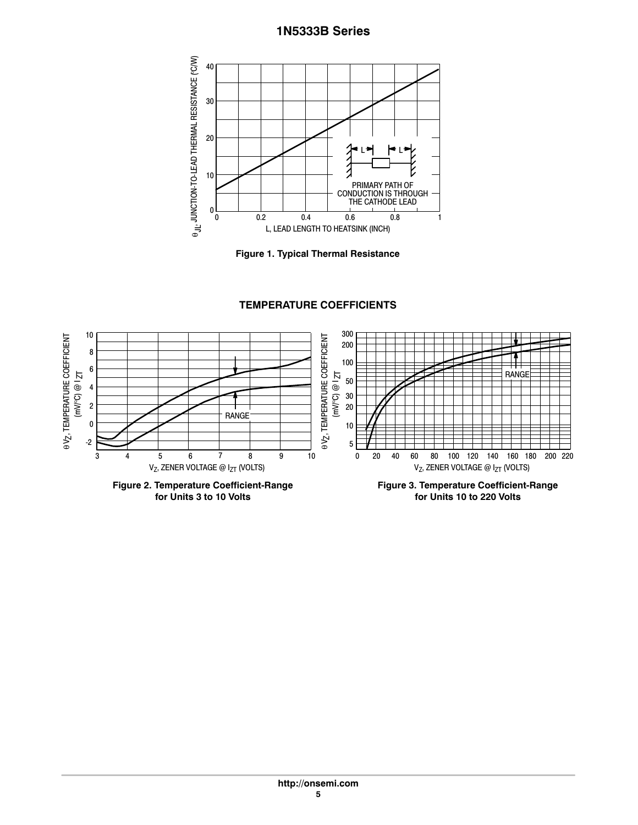<span id="page-5-0"></span>



**TEMPERATURE COEFFICIENTS**



**for Units 3 to 10 Volts**

**Figure 3. Temperature Coefficient‐Range for Units 10 to 220 Volts**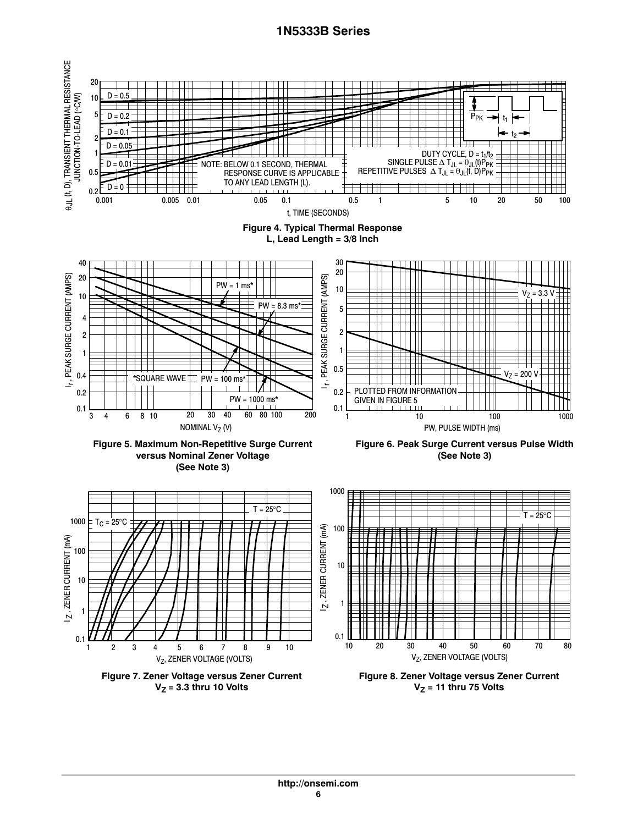<span id="page-6-0"></span>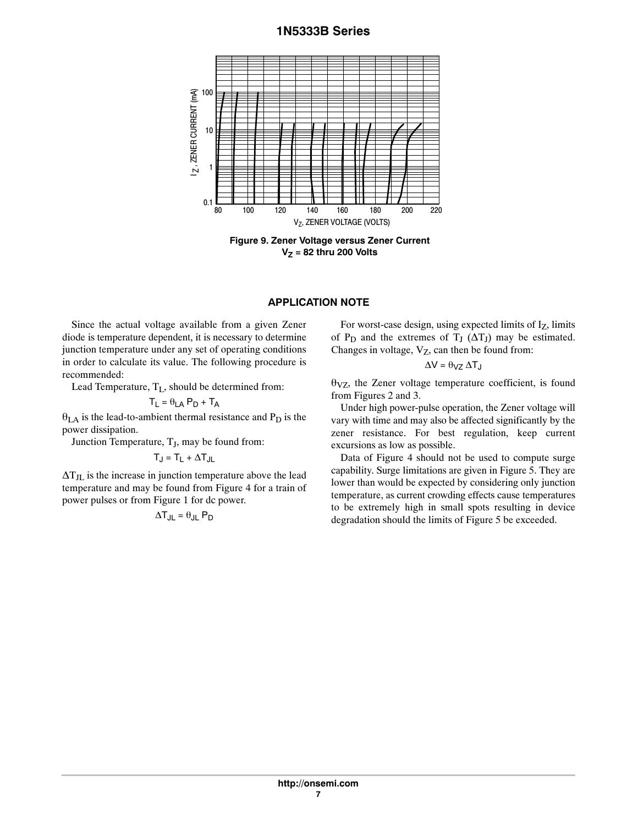

**Figure 9. Zener Voltage versus Zener Current V<sub>Z</sub>** = 82 thru 200 Volts

## **APPLICATION NOTE**

Since the actual voltage available from a given Zener diode is temperature dependent, it is necessary to determine junction temperature under any set of operating conditions in order to calculate its value. The following procedure is recommended:

Lead Temperature,  $T_L$ , should be determined from:

$$
T_L = \theta_{LA} P_D + T_A
$$

 $\theta_{LA}$  is the lead-to-ambient thermal resistance and  $P_D$  is the power dissipation.

Junction Temperature,  $T_J$ , may be found from:

$$
T_J = T_L + \Delta T_{JL}
$$

 $\Delta T_{\rm JL}$  is the increase in junction temperature above the lead temperature and may be found from Figure 4 for a train of power pulses or from Figure [1](#page-5-0) for dc power.

$$
\Delta T_{JL} = \theta_{JL} P_D
$$

For worst-case design, using expected limits of Iz, limits of  $P_D$  and the extremes of  $T_J$  ( $\Delta T_J$ ) may be estimated. Changes in voltage,  $V_Z$ , can then be found from:

$$
\Delta V = \theta_{VZ} \, \Delta T_J
$$

 $\theta_{VZ}$ , the Zener voltage temperature coefficient, is found from Figures 2 and 3.

Under high power‐pulse operation, the Zener voltage will vary with time and may also be affected significantly by the zener resistance. For best regulation, keep current excursions as low as possible.

Data of Figure 4 should not be used to compute surge capability. Surge limitations are given in Figure [5](#page-6-0). They are lower than would be expected by considering only junction temperature, as current crowding effects cause temperatures to be extremely high in small spots resulting in device degradation should the limits of Figure [5](#page-6-0) be exceeded.